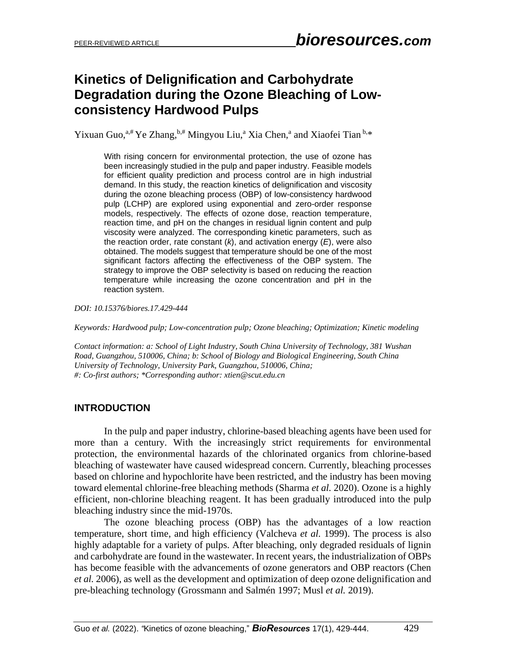# **Kinetics of Delignification and Carbohydrate Degradation during the Ozone Bleaching of Lowconsistency Hardwood Pulps**

Yixuan Guo,<sup>a,#</sup> Ye Zhang, b,# Mingyou Liu,<sup>a</sup> Xia Chen,<sup>a</sup> and Xiaofei Tian b,\*

With rising concern for environmental protection, the use of ozone has been increasingly studied in the pulp and paper industry. Feasible models for efficient quality prediction and process control are in high industrial demand. In this study, the reaction kinetics of delignification and viscosity during the ozone bleaching process (OBP) of low-consistency hardwood pulp (LCHP) are explored using exponential and zero-order response models, respectively. The effects of ozone dose, reaction temperature, reaction time, and pH on the changes in residual lignin content and pulp viscosity were analyzed. The corresponding kinetic parameters, such as the reaction order, rate constant (*k*), and activation energy (*E*), were also obtained. The models suggest that temperature should be one of the most significant factors affecting the effectiveness of the OBP system. The strategy to improve the OBP selectivity is based on reducing the reaction temperature while increasing the ozone concentration and pH in the reaction system.

*DOI: 10.15376/biores.17.429-444*

*Keywords: Hardwood pulp; Low-concentration pulp; Ozone bleaching; Optimization; Kinetic modeling*

*Contact information: a: School of Light Industry, South China University of Technology, 381 Wushan Road, Guangzhou, 510006, China; b: School of Biology and Biological Engineering, South China University of Technology, University Park, Guangzhou, 510006, China; #: Co-first authors; \*Corresponding author: xtien@scut.edu.cn*

# **INTRODUCTION**

In the pulp and paper industry, chlorine-based bleaching agents have been used for more than a century. With the increasingly strict requirements for environmental protection, the environmental hazards of the chlorinated organics from chlorine-based bleaching of wastewater have caused widespread concern. Currently, bleaching processes based on chlorine and hypochlorite have been restricted, and the industry has been moving toward elemental chlorine-free bleaching methods (Sharma *et al.* 2020). Ozone is a highly efficient, non-chlorine bleaching reagent. It has been gradually introduced into the pulp bleaching industry since the mid-1970s.

The ozone bleaching process (OBP) has the advantages of a low reaction temperature, short time, and high efficiency (Valcheva *et al.* 1999). The process is also highly adaptable for a variety of pulps. After bleaching, only degraded residuals of lignin and carbohydrate are found in the wastewater. In recent years, the industrialization of OBPs has become feasible with the advancements of ozone generators and OBP reactors (Chen *et al.* 2006), as well as the development and optimization of deep ozone delignification and pre-bleaching technology (Grossmann and Salmén 1997; Musl *et al.* 2019).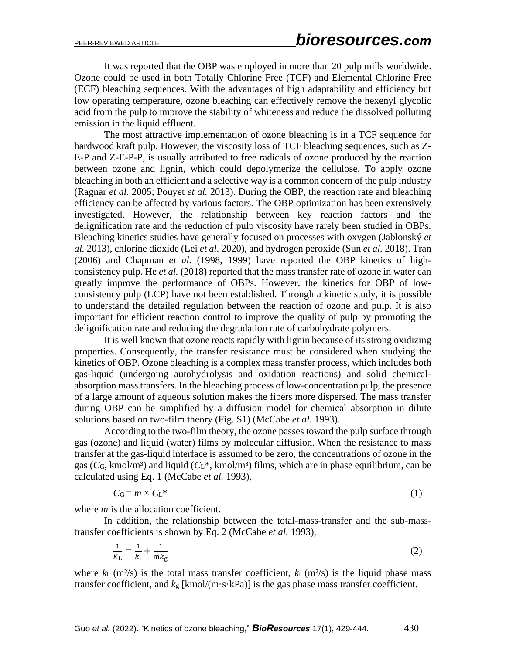It was reported that the OBP was employed in more than 20 pulp mills worldwide. Ozone could be used in both Totally Chlorine Free (TCF) and Elemental Chlorine Free (ECF) bleaching sequences. With the advantages of high adaptability and efficiency but low operating temperature, ozone bleaching can effectively remove the hexenyl glycolic acid from the pulp to improve the stability of whiteness and reduce the dissolved polluting emission in the liquid effluent.

The most attractive implementation of ozone bleaching is in a TCF sequence for hardwood kraft pulp. However, the viscosity loss of TCF bleaching sequences, such as Z-E-P and Z-E-P-P, is usually attributed to free radicals of ozone produced by the reaction between ozone and lignin, which could depolymerize the cellulose. To apply ozone bleaching in both an efficient and a selective way is a common concern of the pulp industry (Ragnar *et al.* 2005; Pouyet *et al.* 2013). During the OBP, the reaction rate and bleaching efficiency can be affected by various factors. The OBP optimization has been extensively investigated. However, the relationship between key reaction factors and the delignification rate and the reduction of pulp viscosity have rarely been studied in OBPs. Bleaching kinetics studies have generally focused on processes with oxygen (Jablonský *et al.* 2013), chlorine dioxide (Lei *et al.* 2020), and hydrogen peroxide (Sun *et al.* 2018). Tran (2006) and Chapman *et al.* (1998, 1999) have reported the OBP kinetics of highconsistency pulp. He *et al.* (2018) reported that the mass transfer rate of ozone in water can greatly improve the performance of OBPs. However, the kinetics for OBP of lowconsistency pulp (LCP) have not been established. Through a kinetic study, it is possible to understand the detailed regulation between the reaction of ozone and pulp. It is also important for efficient reaction control to improve the quality of pulp by promoting the delignification rate and reducing the degradation rate of carbohydrate polymers.

It is well known that ozone reacts rapidly with lignin because of its strong oxidizing properties. Consequently, the transfer resistance must be considered when studying the kinetics of OBP. Ozone bleaching is a complex mass transfer process, which includes both gas-liquid (undergoing autohydrolysis and oxidation reactions) and solid chemicalabsorption mass transfers. In the bleaching process of low-concentration pulp, the presence of a large amount of aqueous solution makes the fibers more dispersed. The mass transfer during OBP can be simplified by a diffusion model for chemical absorption in dilute solutions based on two-film theory (Fig. S1) (McCabe *et al.* 1993).

According to the two-film theory, the ozone passes toward the pulp surface through gas (ozone) and liquid (water) films by molecular diffusion. When the resistance to mass transfer at the gas-liquid interface is assumed to be zero, the concentrations of ozone in the gas ( $C_G$ , kmol/m<sup>3</sup>) and liquid ( $C_L^*$ , kmol/m<sup>3</sup>) films, which are in phase equilibrium, can be calculated using Eq. 1 (McCabe *et al.* 1993),

$$
C_G = m \times C_L^* \tag{1}
$$

where *m* is the allocation coefficient.

In addition, the relationship between the total-mass-transfer and the sub-masstransfer coefficients is shown by Eq. 2 (McCabe *et al.* 1993),

$$
\frac{1}{K_{\rm L}} = \frac{1}{k_{\rm l}} + \frac{1}{m k_{\rm g}}\tag{2}
$$

where  $k_L$  (m<sup>2</sup>/s) is the total mass transfer coefficient,  $k_l$  (m<sup>2</sup>/s) is the liquid phase mass transfer coefficient, and *k*<sup>g</sup> [kmol/(m·s·kPa)] is the gas phase mass transfer coefficient.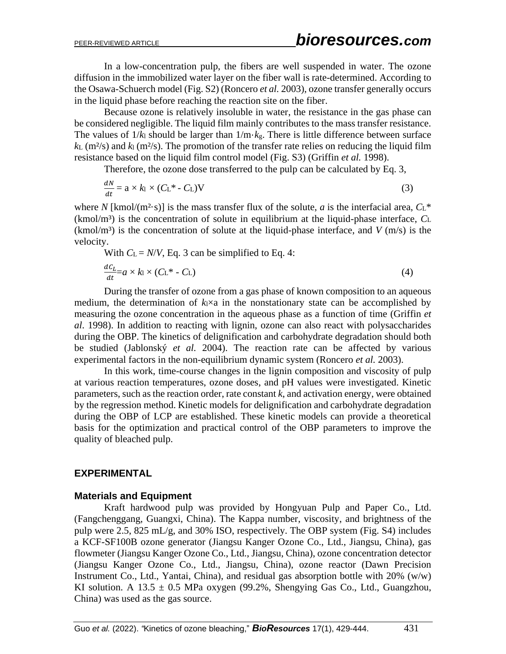In a low-concentration pulp, the fibers are well suspended in water. The ozone diffusion in the immobilized water layer on the fiber wall is rate-determined. According to the Osawa-Schuerch model (Fig. S2) (Roncero *et al.* 2003), ozone transfer generally occurs in the liquid phase before reaching the reaction site on the fiber.

Because ozone is relatively insoluble in water, the resistance in the gas phase can be considered negligible. The liquid film mainly contributes to the mass transfer resistance. The values of  $1/k_1$  should be larger than  $1/m \cdot k_g$ . There is little difference between surface  $k_L$  (m<sup>2</sup>/s) and  $k_l$  (m<sup>2</sup>/s). The promotion of the transfer rate relies on reducing the liquid film resistance based on the liquid film control model (Fig. S3) (Griffin *et al.* 1998).

Therefore, the ozone dose transferred to the pulp can be calculated by Eq. 3,

$$
\frac{dN}{dt} = a \times k_1 \times (C_L^* - C_L)V
$$
\n(3)

where *N* [kmol/(m<sup>2</sup>·s)] is the mass transfer flux of the solute, *a* is the interfacial area,  $C_1^*$  $(kmol/m<sup>3</sup>)$  is the concentration of solute in equilibrium at the liquid-phase interface,  $C<sub>L</sub>$  $(kmol/m<sup>3</sup>)$  is the concentration of solute at the liquid-phase interface, and *V* (m/s) is the velocity.

With  $C_L = N/V$ , Eq. 3 can be simplified to Eq. 4:

$$
\frac{dC_L}{dt} = a \times k_1 \times (C_L^* - C_L) \tag{4}
$$

During the transfer of ozone from a gas phase of known composition to an aqueous medium, the determination of  $k_1 \times a$  in the nonstationary state can be accomplished by measuring the ozone concentration in the aqueous phase as a function of time (Griffin *et al*. 1998). In addition to reacting with lignin, ozone can also react with polysaccharides during the OBP. The kinetics of delignification and carbohydrate degradation should both be studied (Jablonský *et al.* 2004). The reaction rate can be affected by various experimental factors in the non-equilibrium dynamic system (Roncero *et al.* 2003).

In this work, time-course changes in the lignin composition and viscosity of pulp at various reaction temperatures, ozone doses, and pH values were investigated. Kinetic parameters, such as the reaction order, rate constant *k*, and activation energy, were obtained by the regression method. Kinetic models for delignification and carbohydrate degradation during the OBP of LCP are established. These kinetic models can provide a theoretical basis for the optimization and practical control of the OBP parameters to improve the quality of bleached pulp.

# **EXPERIMENTAL**

### **Materials and Equipment**

Kraft hardwood pulp was provided by Hongyuan Pulp and Paper Co., Ltd. (Fangchenggang, Guangxi, China). The Kappa number, viscosity, and brightness of the pulp were 2.5, 825 mL/g, and 30% ISO, respectively. The OBP system (Fig. S4) includes a KCF-SF100B ozone generator (Jiangsu Kanger Ozone Co., Ltd., Jiangsu, China), gas flowmeter (Jiangsu Kanger Ozone Co., Ltd., Jiangsu, China), ozone concentration detector (Jiangsu Kanger Ozone Co., Ltd., Jiangsu, China), ozone reactor (Dawn Precision Instrument Co., Ltd., Yantai, China), and residual gas absorption bottle with 20% (w/w) KI solution. A  $13.5 \pm 0.5$  MPa oxygen (99.2%, Shengying Gas Co., Ltd., Guangzhou, China) was used as the gas source.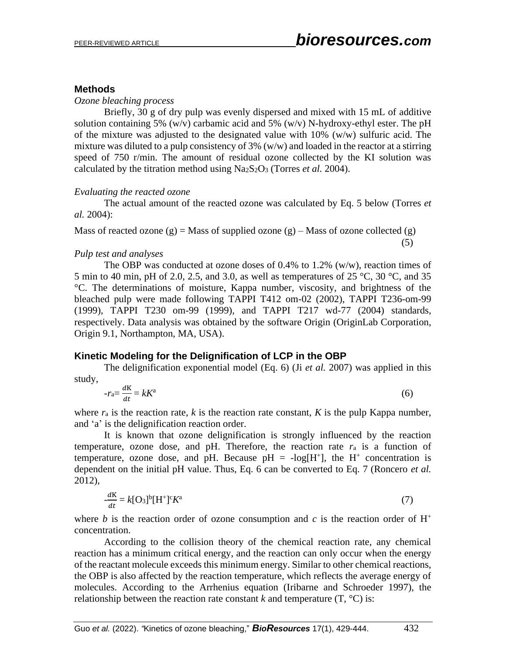# **Methods**

*Ozone bleaching process*

Briefly, 30 g of dry pulp was evenly dispersed and mixed with 15 mL of additive solution containing 5% (w/v) carbamic acid and 5% (w/v) N-hydroxy-ethyl ester. The pH of the mixture was adjusted to the designated value with 10% (w/w) sulfuric acid. The mixture was diluted to a pulp consistency of  $3\%$  (w/w) and loaded in the reactor at a stirring speed of 750 r/min. The amount of residual ozone collected by the KI solution was calculated by the titration method using Na2S2O<sup>3</sup> (Torres *et al.* 2004).

# *Evaluating the reacted ozone*

The actual amount of the reacted ozone was calculated by Eq. 5 below (Torres *et al.* 2004):

Mass of reacted ozone  $(g)$  = Mass of supplied ozone  $(g)$  – Mass of ozone collected  $(g)$ (5)

# *Pulp test and analyses*

The OBP was conducted at ozone doses of  $0.4\%$  to 1.2% (w/w), reaction times of 5 min to 40 min, pH of 2.0, 2.5, and 3.0, as well as temperatures of 25 °C, 30 °C, and 35 °C. The determinations of moisture, Kappa number, viscosity, and brightness of the bleached pulp were made following TAPPI T412 om-02 (2002), TAPPI T236-om-99 (1999), TAPPI T230 om-99 (1999), and TAPPI T217 wd-77 (2004) standards, respectively. Data analysis was obtained by the software Origin (OriginLab Corporation, Origin 9.1, Northampton, MA, USA).

# **Kinetic Modeling for the Delignification of LCP in the OBP**

The delignification exponential model (Eq. 6) (Ji *et al.* 2007) was applied in this study,

$$
-r_{\rm a} = \frac{dK}{dt} = kK^{\rm a} \tag{6}
$$

where  $r_a$  is the reaction rate,  $k$  is the reaction rate constant,  $K$  is the pulp Kappa number, and 'a' is the delignification reaction order.

It is known that ozone delignification is strongly influenced by the reaction temperature, ozone dose, and pH. Therefore, the reaction rate  $r_a$  is a function of temperature, ozone dose, and pH. Because  $pH = -log[H^+]$ , the  $H^+$  concentration is dependent on the initial pH value. Thus, Eq. 6 can be converted to Eq. 7 (Roncero *et al.* 2012),

$$
\frac{dK}{dt} = k[\mathbf{O}_3]^b[\mathbf{H}^+]^c K^a \tag{7}
$$

where *b* is the reaction order of ozone consumption and *c* is the reaction order of  $H^+$ concentration.

According to the collision theory of the chemical reaction rate, any chemical reaction has a minimum critical energy, and the reaction can only occur when the energy of the reactant molecule exceeds this minimum energy. Similar to other chemical reactions, the OBP is also affected by the reaction temperature, which reflects the average energy of molecules. According to the Arrhenius equation (Iribarne and Schroeder 1997), the relationship between the reaction rate constant  $k$  and temperature  $(T, {}^{\circ}C)$  is: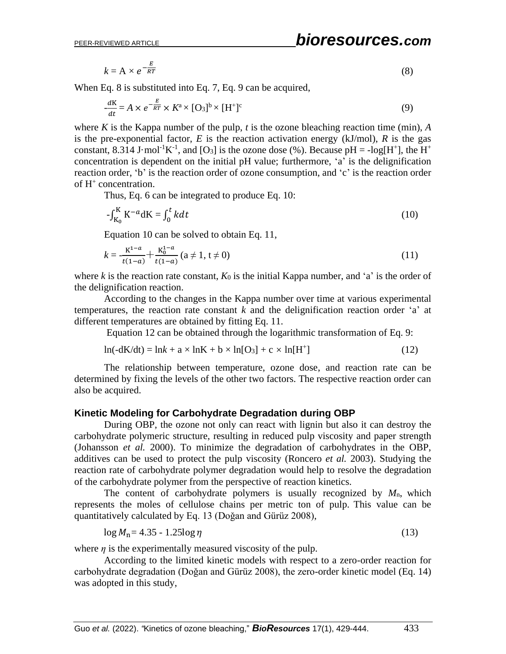-

$$
k = A \times e^{-\frac{E}{RT}} \tag{8}
$$

When Eq. 8 is substituted into Eq. 7, Eq. 9 can be acquired,

$$
\frac{dK}{dt} = A \times e^{-\frac{E}{RT}} \times K^{a} \times [O_{3}]^{b} \times [H^{+}]^{c}
$$
\n(9)

where *K* is the Kappa number of the pulp, *t* is the ozone bleaching reaction time (min), *A* is the pre-exponential factor,  $E$  is the reaction activation energy (kJ/mol),  $R$  is the gas constant, 8.314 J·mol<sup>-1</sup>K<sup>-1</sup>, and [O<sub>3</sub>] is the ozone dose (%). Because pH = -log[H<sup>+</sup>], the H<sup>+</sup> concentration is dependent on the initial pH value; furthermore, 'a' is the delignification reaction order, 'b' is the reaction order of ozone consumption, and 'c' is the reaction order of H<sup>+</sup> concentration.

Thus, Eq. 6 can be integrated to produce Eq. 10:

$$
-\int_{K_0}^K K^{-a} dK = \int_0^t k dt
$$
\n(10)

Equation 10 can be solved to obtain Eq. 11,

$$
k = -\frac{K^{1-a}}{t(1-a)} + \frac{K_0^{1-a}}{t(1-a)} \quad (a \neq 1, t \neq 0)
$$
 (11)

where *k* is the reaction rate constant,  $K_0$  is the initial Kappa number, and 'a' is the order of the delignification reaction.

According to the changes in the Kappa number over time at various experimental temperatures, the reaction rate constant *k* and the delignification reaction order 'a' at different temperatures are obtained by fitting Eq. 11.

Equation 12 can be obtained through the logarithmic transformation of Eq. 9:

$$
\ln(-dK/dt) = \ln k + a \times \ln K + b \times \ln[O_3] + c \times \ln[H^+]
$$
 (12)

The relationship between temperature, ozone dose, and reaction rate can be determined by fixing the levels of the other two factors. The respective reaction order can also be acquired.

# **Kinetic Modeling for Carbohydrate Degradation during OBP**

During OBP, the ozone not only can react with lignin but also it can destroy the carbohydrate polymeric structure, resulting in reduced pulp viscosity and paper strength (Johansson *et al.* 2000). To minimize the degradation of carbohydrates in the OBP, additives can be used to protect the pulp viscosity (Roncero *et al.* 2003). Studying the reaction rate of carbohydrate polymer degradation would help to resolve the degradation of the carbohydrate polymer from the perspective of reaction kinetics.

The content of carbohydrate polymers is usually recognized by *M*n, which represents the moles of cellulose chains per metric ton of pulp. This value can be quantitatively calculated by Eq. 13 (Doğan and Gürüz 2008),

$$
\log M_{\rm n} = 4.35 - 1.25 \log \eta \tag{13}
$$

where  $\eta$  is the experimentally measured viscosity of the pulp.

According to the limited kinetic models with respect to a zero-order reaction for carbohydrate degradation (Doǧan and Gürüz 2008), the zero-order kinetic model (Eq. 14) was adopted in this study,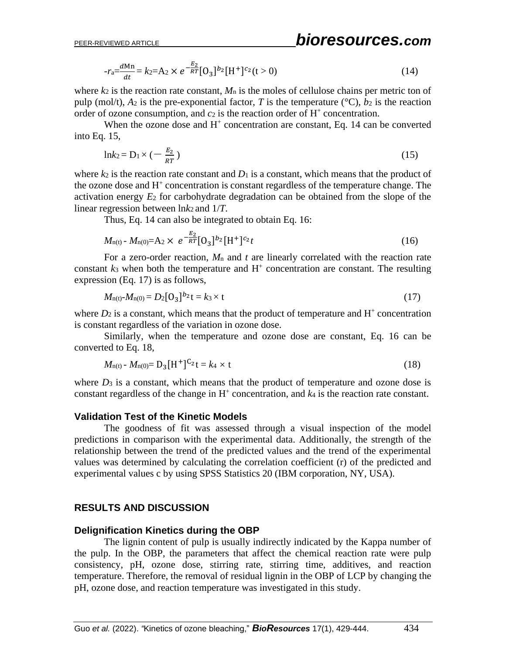$$
-r_a = \frac{dMn}{dt} = k_2 = A_2 \times e^{-\frac{E_2}{RT}} [0_3]^{b_2} [H^+]^{c_2} (t > 0)
$$
\n(14)

where  $k_2$  is the reaction rate constant,  $M_n$  is the moles of cellulose chains per metric ton of pulp (mol/t),  $A_2$  is the pre-exponential factor, *T* is the temperature ( ${}^{\circ}C$ ),  $b_2$  is the reaction order of ozone consumption, and  $c_2$  is the reaction order of  $H^+$  concentration.

When the ozone dose and  $H^+$  concentration are constant, Eq. 14 can be converted into Eq. 15,

$$
\ln k_2 = D_1 \times \left(-\frac{E_2}{RT}\right) \tag{15}
$$

where  $k_2$  is the reaction rate constant and  $D_1$  is a constant, which means that the product of the ozone dose and H<sup>+</sup> concentration is constant regardless of the temperature change. The activation energy *E*<sup>2</sup> for carbohydrate degradation can be obtained from the slope of the linear regression between ln*k*2 and 1/*T*.

Thus, Eq. 14 can also be integrated to obtain Eq. 16:

$$
M_{n(t)} - M_{n(0)} = A_2 \times e^{-\frac{E_2}{RT}} [O_3]^{b_2} [H^+]^{c_2} t \tag{16}
$$

For a zero-order reaction, *M*<sup>n</sup> and *t* are linearly correlated with the reaction rate constant  $k_3$  when both the temperature and  $H^+$  concentration are constant. The resulting expression (Eq. 17) is as follows,

$$
M_{n(t)} - M_{n(0)} = D_2 [O_3]^{b_2} t = k_3 \times t \tag{17}
$$

where  $D_2$  is a constant, which means that the product of temperature and  $H^+$  concentration is constant regardless of the variation in ozone dose.

Similarly, when the temperature and ozone dose are constant, Eq. 16 can be converted to Eq. 18,

$$
M_{n(t)} - M_{n(0)} = D_3[H^+]^{C_2}t = k_4 \times t \tag{18}
$$

where  $D_3$  is a constant, which means that the product of temperature and ozone dose is constant regardless of the change in  $H^+$  concentration, and  $k_4$  is the reaction rate constant.

# **Validation Test of the Kinetic Models**

The goodness of fit was assessed through a visual inspection of the model predictions in comparison with the experimental data. Additionally, the strength of the relationship between the trend of the predicted values and the trend of the experimental values was determined by calculating the correlation coefficient (r) of the predicted and experimental values c by using SPSS Statistics 20 (IBM corporation, NY, USA).

# **RESULTS AND DISCUSSION**

# **Delignification Kinetics during the OBP**

The lignin content of pulp is usually indirectly indicated by the Kappa number of the pulp. In the OBP, the parameters that affect the chemical reaction rate were pulp consistency, pH, ozone dose, stirring rate, stirring time, additives, and reaction temperature. Therefore, the removal of residual lignin in the OBP of LCP by changing the pH, ozone dose, and reaction temperature was investigated in this study.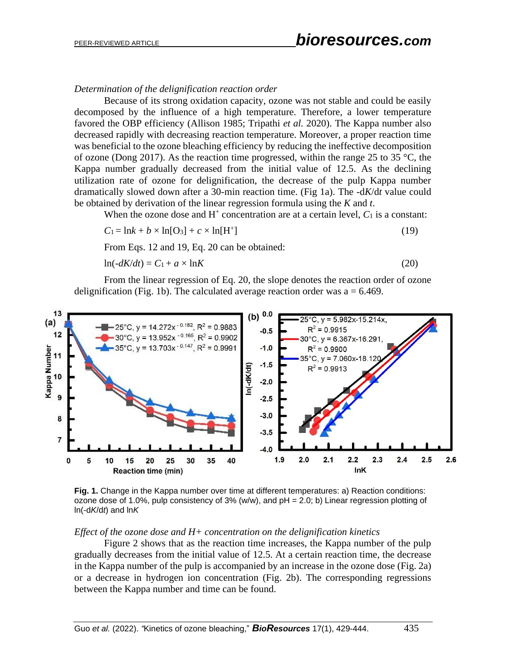### *Determination of the delignification reaction order*

Because of its strong oxidation capacity, ozone was not stable and could be easily decomposed by the influence of a high temperature. Therefore, a lower temperature favored the OBP efficiency (Allison 1985; Tripathi *et al.* 2020). The Kappa number also decreased rapidly with decreasing reaction temperature. Moreover, a proper reaction time was beneficial to the ozone bleaching efficiency by reducing the ineffective decomposition of ozone (Dong 2017). As the reaction time progressed, within the range 25 to 35  $\degree$ C, the Kappa number gradually decreased from the initial value of 12.5. As the declining utilization rate of ozone for delignification, the decrease of the pulp Kappa number dramatically slowed down after a 30-min reaction time. (Fig 1a). The -d*K*/d*t* value could be obtained by derivation of the linear regression formula using the *K* and *t*.

When the ozone dose and  $H^+$  concentration are at a certain level,  $C_1$  is a constant:

$$
C_1 = \ln k + b \times \ln[0_3] + c \times \ln[H^+]
$$
\n(19)

From Eqs. 12 and 19, Eq. 20 can be obtained:

$$
\ln(-dK/dt) = C_1 + a \times \ln K \tag{20}
$$

From the linear regression of Eq. 20, the slope denotes the reaction order of ozone delignification (Fig. 1b). The calculated average reaction order was  $a = 6.469$ .



**Fig. 1.** Change in the Kappa number over time at different temperatures: a) Reaction conditions: ozone dose of 1.0%, pulp consistency of  $3\%$  (w/w), and  $pH = 2.0$ ; b) Linear regression plotting of ln(-d*K*/d*t*) and ln*K*

#### *Effect of the ozone dose and H+ concentration on the delignification kinetics*

Figure 2 shows that as the reaction time increases, the Kappa number of the pulp gradually decreases from the initial value of 12.5. At a certain reaction time, the decrease in the Kappa number of the pulp is accompanied by an increase in the ozone dose (Fig. 2a) or a decrease in hydrogen ion concentration (Fig. 2b). The corresponding regressions between the Kappa number and time can be found.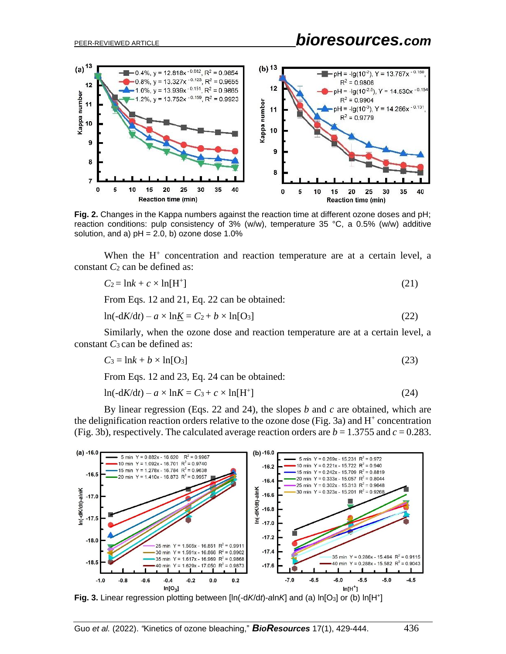

**Fig. 2.** Changes in the Kappa numbers against the reaction time at different ozone doses and pH; reaction conditions: pulp consistency of 3% (w/w), temperature 35 °C, a 0.5% (w/w) additive solution, and a)  $pH = 2.0$ , b) ozone dose 1.0%

When the H<sup>+</sup> concentration and reaction temperature are at a certain level, a constant *C*<sub>2</sub> can be defined as:

$$
C_2 = \ln k + c \times \ln[\text{H}^+] \tag{21}
$$

From Eqs. 12 and 21, Eq. 22 can be obtained:

$$
\ln(-dK/dt) - a \times \ln\underline{K} = C_2 + b \times \ln[O_3]
$$
\n(22)

Similarly, when the ozone dose and reaction temperature are at a certain level, a constant *C*3 can be defined as:

$$
C_3 = \ln k + b \times \ln[\text{O}_3] \tag{23}
$$

From Eqs. 12 and 23, Eq. 24 can be obtained:

$$
\ln(-dK/dt) - a \times \ln K = C_3 + c \times \ln[H^+]
$$
\n(24)

By linear regression (Eqs. 22 and 24), the slopes *b* and *c* are obtained, which are the delignification reaction orders relative to the ozone dose (Fig. 3a) and  $H^+$  concentration (Fig. 3b), respectively. The calculated average reaction orders are  $b = 1.3755$  and  $c = 0.283$ .



**Fig. 3.** Linear regression plotting between [ln(-d*K*/d*t*)-*a*ln*K*] and (a) ln[O3] or (b) ln[H<sup>+</sup> ]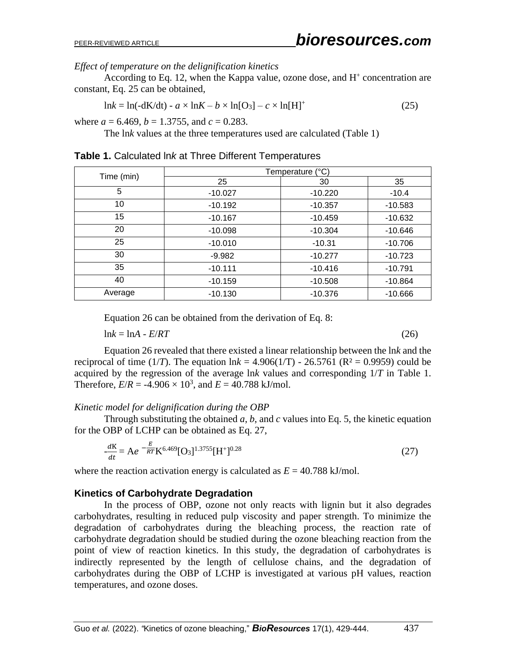# *Effect of temperature on the delignification kinetics*

According to Eq. 12, when the Kappa value, ozone dose, and  $H^+$  concentration are constant, Eq. 25 can be obtained,

$$
\ln k = \ln(-dK/dt) - a \times \ln K - b \times \ln[O_3] - c \times \ln[H]^+ \tag{25}
$$

where  $a = 6.469$ ,  $b = 1.3755$ , and  $c = 0.283$ .

The ln*k* values at the three temperatures used are calculated (Table 1)

| Time (min) | Temperature (°C) |           |           |  |  |
|------------|------------------|-----------|-----------|--|--|
|            | 25               | 30        | 35        |  |  |
| 5          | $-10.027$        | $-10.220$ | $-10.4$   |  |  |
| 10         | $-10.192$        | $-10.357$ | $-10.583$ |  |  |
| 15         | $-10.167$        | $-10.459$ | $-10.632$ |  |  |
| 20         | $-10.098$        | $-10.304$ | $-10.646$ |  |  |
| 25         | $-10.010$        | $-10.31$  | $-10.706$ |  |  |
| 30         | $-9.982$         | $-10.277$ | $-10.723$ |  |  |
| 35         | $-10.111$        | $-10.416$ | $-10.791$ |  |  |
| 40         | $-10.159$        | $-10.508$ | $-10.864$ |  |  |
| Average    | $-10.130$        | $-10.376$ | $-10.666$ |  |  |

**Table 1.** Calculated ln*k* at Three Different Temperatures

Equation 26 can be obtained from the derivation of Eq. 8:

 $\ln k = \ln A - E/RT$  (26)

Equation 26 revealed that there existed a linear relationship between the ln*k* and the reciprocal of time (1/*T*). The equation  $ln k = 4.906(1/T) - 26.5761$  ( $R^2 = 0.9959$ ) could be acquired by the regression of the average ln*k* values and corresponding 1/*T* in Table 1. Therefore,  $E/R = -4.906 \times 10^3$ , and  $E = 40.788$  kJ/mol.

### *Kinetic model for delignification during the OBP*

Through substituting the obtained *a*, *b*, and *c* values into Eq. 5, the kinetic equation for the OBP of LCHP can be obtained as Eq. 27,

$$
\frac{dK}{dt} = Ae^{-\frac{E}{RT}}K^{6.469}[O_3]^{1.3755}[H^+]^{0.28}
$$
 (27)

where the reaction activation energy is calculated as  $E = 40.788 \text{ kJ/mol}$ .

# **Kinetics of Carbohydrate Degradation**

In the process of OBP, ozone not only reacts with lignin but it also degrades carbohydrates, resulting in reduced pulp viscosity and paper strength. To minimize the degradation of carbohydrates during the bleaching process, the reaction rate of carbohydrate degradation should be studied during the ozone bleaching reaction from the point of view of reaction kinetics. In this study, the degradation of carbohydrates is indirectly represented by the length of cellulose chains, and the degradation of carbohydrates during the OBP of LCHP is investigated at various pH values, reaction temperatures, and ozone doses.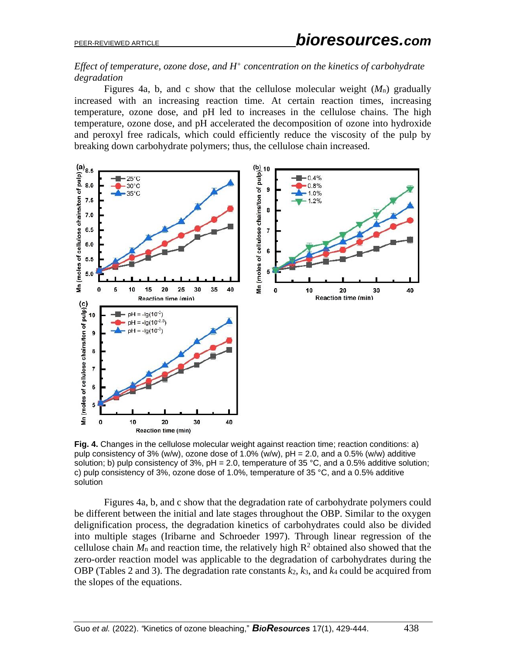# *Effect of temperature, ozone dose, and H<sup>+</sup> concentration on the kinetics of carbohydrate degradation*

Figures 4a, b, and c show that the cellulose molecular weight (*M*n) gradually increased with an increasing reaction time. At certain reaction times, increasing temperature, ozone dose, and pH led to increases in the cellulose chains. The high temperature, ozone dose, and pH accelerated the decomposition of ozone into hydroxide and peroxyl free radicals, which could efficiently reduce the viscosity of the pulp by breaking down carbohydrate polymers; thus, the cellulose chain increased.



**Fig. 4.** Changes in the cellulose molecular weight against reaction time; reaction conditions: a) pulp consistency of 3% (w/w), ozone dose of 1.0% (w/w),  $pH = 2.0$ , and a 0.5% (w/w) additive solution; b) pulp consistency of 3%,  $pH = 2.0$ , temperature of 35 °C, and a 0.5% additive solution; c) pulp consistency of 3%, ozone dose of 1.0%, temperature of 35 °C, and a 0.5% additive solution

Figures 4a, b, and c show that the degradation rate of carbohydrate polymers could be different between the initial and late stages throughout the OBP. Similar to the oxygen delignification process, the degradation kinetics of carbohydrates could also be divided into multiple stages (Iribarne and Schroeder 1997). Through linear regression of the cellulose chain  $M_n$  and reaction time, the relatively high  $R^2$  obtained also showed that the zero-order reaction model was applicable to the degradation of carbohydrates during the OBP (Tables 2 and 3). The degradation rate constants *k*2, *k*3, and *k*<sup>4</sup> could be acquired from the slopes of the equations.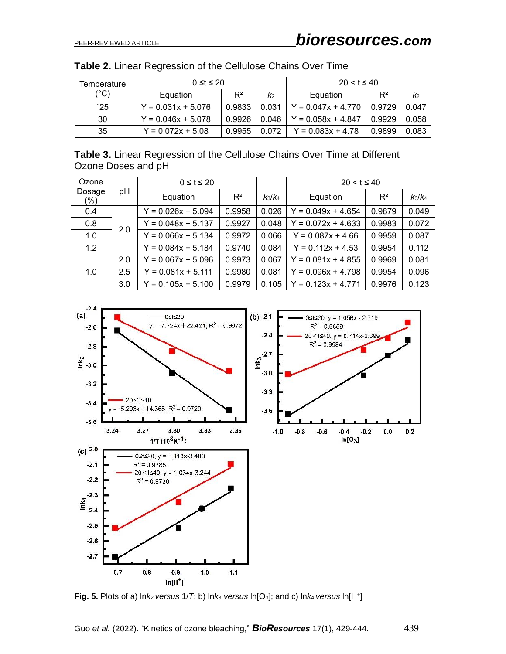| lemperature  | $0 \leq t \leq 20$   |        |                | $20 < t \leq 40$     |        |       |
|--------------|----------------------|--------|----------------|----------------------|--------|-------|
| (°C)         | Equation             | $R^2$  | K <sub>2</sub> | Equation             | $R^2$  | K2    |
| $^{\circ}25$ | $Y = 0.031x + 5.076$ | 0.9833 | 0.031          | $Y = 0.047x + 4.770$ | 0.9729 | 0.047 |
| 30           | $Y = 0.046x + 5.078$ | 0.9926 | 0.046          | $Y = 0.058x + 4.847$ | 0.9929 | 0.058 |
| 35           | $Y = 0.072x + 5.08$  | 0.9955 | 0.072          | $Y = 0.083x + 4.78$  | 0.9899 | 0.083 |

| Table 2. Linear Regression of the Cellulose Chains Over Time |  |  |  |  |  |  |  |  |
|--------------------------------------------------------------|--|--|--|--|--|--|--|--|
|--------------------------------------------------------------|--|--|--|--|--|--|--|--|

**Table 3.** Linear Regression of the Cellulose Chains Over Time at Different Ozone Doses and pH

| Ozone<br>pH<br>Dosage<br>$(\%)$ | $0 \leq t \leq 20$ |                      |           | $20 < t \le 40$ |                      |           |       |
|---------------------------------|--------------------|----------------------|-----------|-----------------|----------------------|-----------|-------|
|                                 | Equation           | $R^2$                | $k_3/k_4$ | Equation        | $R^2$                | $k_3/k_4$ |       |
| 0.4                             |                    | $Y = 0.026x + 5.094$ | 0.9958    | 0.026           | $Y = 0.049x + 4.654$ | 0.9879    | 0.049 |
| 0.8                             | 2.0                | $Y = 0.048x + 5.137$ | 0.9927    | 0.048           | $Y = 0.072x + 4.633$ | 0.9983    | 0.072 |
| 1.0                             |                    | $Y = 0.066x + 5.134$ | 0.9972    | 0.066           | $Y = 0.087x + 4.66$  | 0.9959    | 0.087 |
| 1.2                             |                    | $Y = 0.084x + 5.184$ | 0.9740    | 0.084           | $Y = 0.112x + 4.53$  | 0.9954    | 0.112 |
|                                 | 2.0                | $Y = 0.067x + 5.096$ | 0.9973    | 0.067           | $Y = 0.081x + 4.855$ | 0.9969    | 0.081 |
| 2.5<br>1.0<br>3.0               |                    | $Y = 0.081x + 5.111$ | 0.9980    | 0.081           | $Y = 0.096x + 4.798$ | 0.9954    | 0.096 |
|                                 |                    | $Y = 0.105x + 5.100$ | 0.9979    | 0.105           | $Y = 0.123x + 4.771$ | 0.9976    | 0.123 |



**Fig. 5.** Plots of a)  $\ln k_2$  *versus* 1/*T*; b)  $\ln k_3$  *versus*  $\ln[O_3]$ ; and c)  $\ln k_4$  *versus*  $\ln[\text{H}^+]$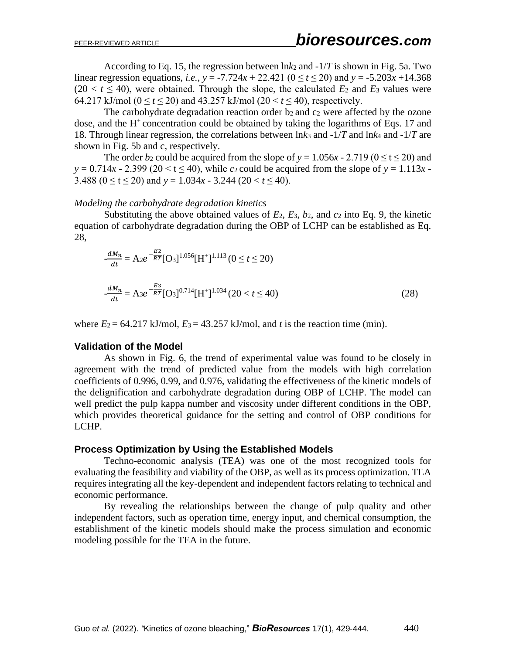According to Eq. 15, the regression between  $\ln k_2$  and  $-1/T$  is shown in Fig. 5a. Two linear regression equations, *i.e.*,  $y = -7.724x + 22.421$  ( $0 \le t \le 20$ ) and  $y = -5.203x + 14.368$  $(20 < t \leq 40)$ , were obtained. Through the slope, the calculated  $E_2$  and  $E_3$  values were 64.217 kJ/mol ( $0 \le t \le 20$ ) and 43.257 kJ/mol ( $20 \le t \le 40$ ), respectively.

The carbohydrate degradation reaction order b<sub>2</sub> and c<sub>2</sub> were affected by the ozone dose, and the  $H^+$ concentration could be obtained by taking the logarithms of Eqs. 17 and 18. Through linear regression, the correlations between ln*k*<sup>3</sup> and -1/*T* and ln*k*<sup>4</sup> and -1/*T* are shown in Fig. 5b and c, respectively.

The order  $b_2$  could be acquired from the slope of  $y = 1.056x - 2.719$  ( $0 \le t \le 20$ ) and  $y = 0.714x - 2.399$  (20 < t  $\leq 40$ ), while *c*<sub>2</sub> could be acquired from the slope of  $y = 1.113x - 1.113x$ 3.488 ( $0 \le t \le 20$ ) and  $y = 1.034x - 3.244$  ( $20 < t \le 40$ ).

### *Modeling the carbohydrate degradation kinetics*

Substituting the above obtained values of  $E_2$ ,  $E_3$ ,  $b_2$ , and  $c_2$  into Eq. 9, the kinetic equation of carbohydrate degradation during the OBP of LCHP can be established as Eq. 28,

$$
\frac{dM_n}{dt} = A_2 e^{-\frac{E_2}{RT}} [O_3]^{1.056} [H^+]^{1.113} (0 \le t \le 20)
$$
  

$$
\frac{dM_n}{dt} = A_3 e^{-\frac{E_3}{RT}} [O_3]^{0.714} [H^+]^{1.034} (20 < t \le 40)
$$
 (28)

where  $E_2 = 64.217$  kJ/mol,  $E_3 = 43.257$  kJ/mol, and *t* is the reaction time (min).

# **Validation of the Model**

As shown in Fig. 6, the trend of experimental value was found to be closely in agreement with the trend of predicted value from the models with high correlation coefficients of 0.996, 0.99, and 0.976, validating the effectiveness of the kinetic models of the delignification and carbohydrate degradation during OBP of LCHP. The model can well predict the pulp kappa number and viscosity under different conditions in the OBP, which provides theoretical guidance for the setting and control of OBP conditions for LCHP.

# **Process Optimization by Using the Established Models**

Techno-economic analysis (TEA) was one of the most recognized tools for evaluating the feasibility and viability of the OBP, as well as its process optimization. TEA requires integrating all the key-dependent and independent factors relating to technical and economic performance.

By revealing the relationships between the change of pulp quality and other independent factors, such as operation time, energy input, and chemical consumption, the establishment of the kinetic models should make the process simulation and economic modeling possible for the TEA in the future.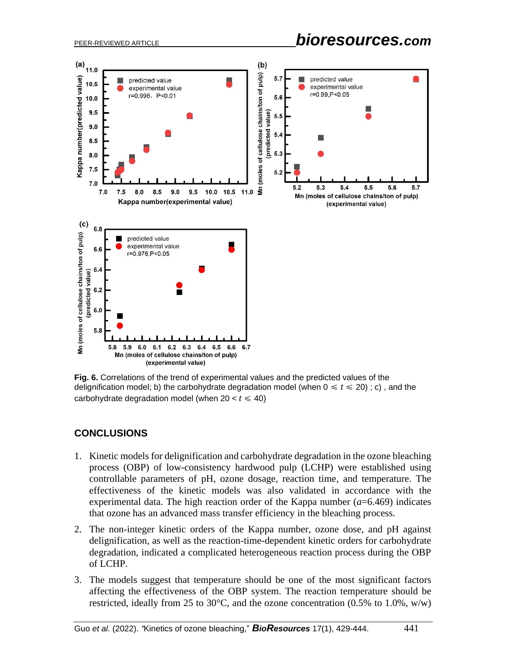

**Fig. 6.** Correlations of the trend of experimental values and the predicted values of the delignification model; b) the carbohydrate degradation model (when  $0 \le t \le 20$ ); c), and the carbohydrate degradation model (when  $20 < t \leq 40$ )

# **CONCLUSIONS**

- 1. Kinetic models for delignification and carbohydrate degradation in the ozone bleaching process (OBP) of low-consistency hardwood pulp (LCHP) were established using controllable parameters of pH, ozone dosage, reaction time, and temperature. The effectiveness of the kinetic models was also validated in accordance with the experimental data. The high reaction order of the Kappa number  $(a=6.469)$  indicates that ozone has an advanced mass transfer efficiency in the bleaching process.
- 2. The non-integer kinetic orders of the Kappa number, ozone dose, and pH against delignification, as well as the reaction-time-dependent kinetic orders for carbohydrate degradation, indicated a complicated heterogeneous reaction process during the OBP of LCHP.
- 3. The models suggest that temperature should be one of the most significant factors affecting the effectiveness of the OBP system. The reaction temperature should be restricted, ideally from 25 to 30 $^{\circ}$ C, and the ozone concentration (0.5% to 1.0%, w/w)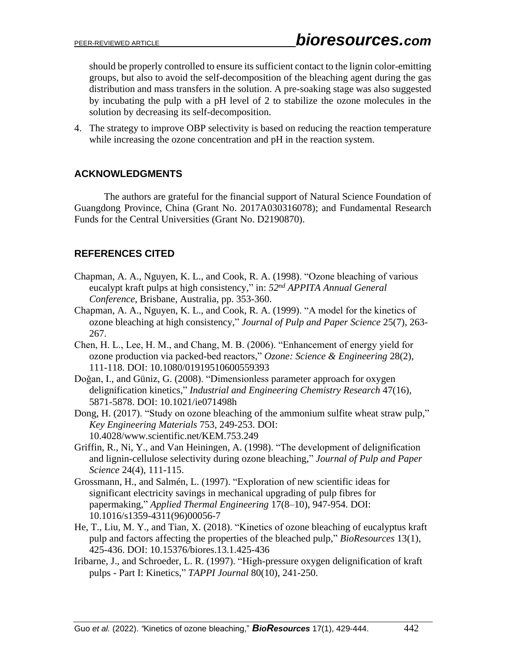should be properly controlled to ensure its sufficient contact to the lignin color-emitting groups, but also to avoid the self-decomposition of the bleaching agent during the gas distribution and mass transfers in the solution. A pre-soaking stage was also suggested by incubating the pulp with a pH level of 2 to stabilize the ozone molecules in the solution by decreasing its self-decomposition.

4. The strategy to improve OBP selectivity is based on reducing the reaction temperature while increasing the ozone concentration and  $pH$  in the reaction system.

# **ACKNOWLEDGMENTS**

The authors are grateful for the financial support of Natural Science Foundation of Guangdong Province, China (Grant No. 2017A030316078); and Fundamental Research Funds for the Central Universities (Grant No. D2190870).

# **REFERENCES CITED**

- Chapman, A. A., Nguyen, K. L., and Cook, R. A. (1998). "Ozone bleaching of various eucalypt kraft pulps at high consistency," in: *52nd APPITA Annual General Conference*, Brisbane, Australia, pp. 353-360.
- Chapman, A. A., Nguyen, K. L., and Cook, R. A. (1999). "A model for the kinetics of ozone bleaching at high consistency," *Journal of Pulp and Paper Science* 25(7), 263- 267.
- Chen, H. L., Lee, H. M., and Chang, M. B. (2006). "Enhancement of energy yield for ozone production via packed-bed reactors," *Ozone: Science & Engineering* 28(2), 111-118. DOI: 10.1080/01919510600559393
- Doǧan, I., and Güniz, G. (2008). "Dimensionless parameter approach for oxygen delignification kinetics," *Industrial and Engineering Chemistry Research* 47(16), 5871-5878. DOI: 10.1021/ie071498h
- Dong, H. (2017). "Study on ozone bleaching of the ammonium sulfite wheat straw pulp," *Key Engineering Materials* 753, 249-253. DOI: 10.4028/www.scientific.net/KEM.753.249
- Griffin, R., Ni, Y., and Van Heiningen, A. (1998). "The development of delignification and lignin-cellulose selectivity during ozone bleaching," *Journal of Pulp and Paper Science* 24(4), 111-115.
- Grossmann, H., and Salmén, L. (1997). "Exploration of new scientific ideas for significant electricity savings in mechanical upgrading of pulp fibres for papermaking," *Applied Thermal Engineering* 17(8–10), 947-954. DOI: 10.1016/s1359-4311(96)00056-7
- He, T., Liu, M. Y., and Tian, X. (2018). "Kinetics of ozone bleaching of eucalyptus kraft pulp and factors affecting the properties of the bleached pulp," *BioResources* 13(1), 425-436. DOI: 10.15376/biores.13.1.425-436
- Iribarne, J., and Schroeder, L. R. (1997). "High-pressure oxygen delignification of kraft pulps - Part I: Kinetics," *TAPPI Journal* 80(10), 241-250.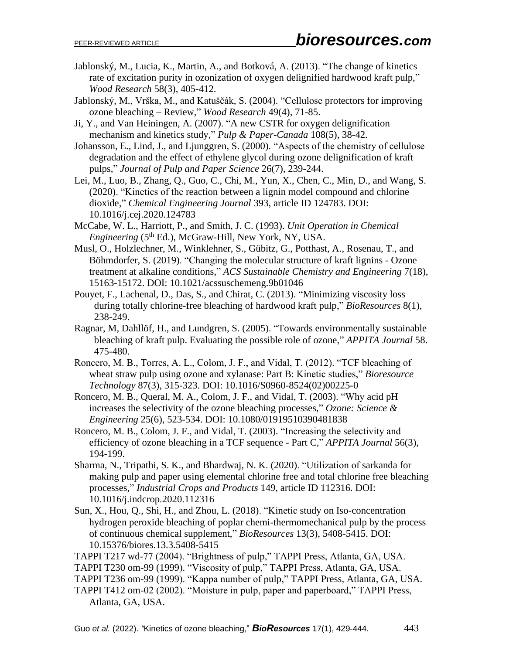- Jablonský, M., Lucia, K., Martin, A., and Botková, A. (2013). "The change of kinetics rate of excitation purity in ozonization of oxygen delignified hardwood kraft pulp," *Wood Research* 58(3), 405-412.
- Jablonský, M., Vrška, M., and Katuščák, S. (2004). "Cellulose protectors for improving ozone bleaching – Review," *Wood Research* 49(4), 71-85.
- Ji, Y., and Van Heiningen, A. (2007). "A new CSTR for oxygen delignification mechanism and kinetics study," *Pulp & Paper-Canada* 108(5), 38-42.
- Johansson, E., Lind, J., and Ljunggren, S. (2000). "Aspects of the chemistry of cellulose degradation and the effect of ethylene glycol during ozone delignification of kraft pulps," *Journal of Pulp and Paper Science* 26(7), 239-244.
- Lei, M., Luo, B., Zhang, Q., Guo, C., Chi, M., Yun, X., Chen, C., Min, D., and Wang, S. (2020). "Kinetics of the reaction between a lignin model compound and chlorine dioxide," *Chemical Engineering Journal* 393, article ID 124783. DOI: 10.1016/j.cej.2020.124783
- McCabe, W. L., Harriott, P., and Smith, J. C. (1993). *Unit Operation in Chemical Engineering* (5<sup>th</sup> Ed.), McGraw-Hill, New York, NY, USA.
- Musl, O., Holzlechner, M., Winklehner, S., Gübitz, G., Potthast, A., Rosenau, T., and Böhmdorfer, S. (2019). "Changing the molecular structure of kraft lignins - Ozone treatment at alkaline conditions," *ACS Sustainable Chemistry and Engineering* 7(18), 15163-15172. DOI: 10.1021/acssuschemeng.9b01046
- Pouyet, F., Lachenal, D., Das, S., and Chirat, C. (2013). "Minimizing viscosity loss during totally chlorine-free bleaching of hardwood kraft pulp," *BioResources* 8(1), 238-249.
- Ragnar, M, Dahllöf, H., and Lundgren, S. (2005). "Towards environmentally sustainable bleaching of kraft pulp. Evaluating the possible role of ozone," *APPITA Journal* 58. 475-480.
- Roncero, M. B., Torres, A. L., Colom, J. F., and Vidal, T. (2012). "TCF bleaching of wheat straw pulp using ozone and xylanase: Part B: Kinetic studies," *Bioresource Technology* 87(3), 315-323. DOI: 10.1016/S0960-8524(02)00225-0
- Roncero, M. B., Queral, M. A., Colom, J. F., and Vidal, T. (2003). "Why acid pH increases the selectivity of the ozone bleaching processes," *Ozone: Science & Engineering* 25(6), 523-534. DOI: 10.1080/01919510390481838
- Roncero, M. B., Colom, J. F., and Vidal, T. (2003). "Increasing the selectivity and efficiency of ozone bleaching in a TCF sequence - Part C," *APPITA Journal* 56(3), 194-199.
- Sharma, N., Tripathi, S. K., and Bhardwaj, N. K. (2020). "Utilization of sarkanda for making pulp and paper using elemental chlorine free and total chlorine free bleaching processes," *Industrial Crops and Products* 149, article ID 112316. DOI: 10.1016/j.indcrop.2020.112316
- Sun, X., Hou, Q., Shi, H., and Zhou, L. (2018). "Kinetic study on Iso-concentration hydrogen peroxide bleaching of poplar chemi-thermomechanical pulp by the process of continuous chemical supplement," *BioResources* 13(3), 5408-5415. DOI: 10.15376/biores.13.3.5408-5415
- TAPPI T217 wd-77 (2004). "Brightness of pulp," TAPPI Press, Atlanta, GA, USA.
- TAPPI T230 om-99 (1999). "Viscosity of pulp," TAPPI Press, Atlanta, GA, USA.
- TAPPI T236 om-99 (1999). "Kappa number of pulp," TAPPI Press, Atlanta, GA, USA.
- TAPPI T412 om-02 (2002). "Moisture in pulp, paper and paperboard," TAPPI Press, Atlanta, GA, USA.